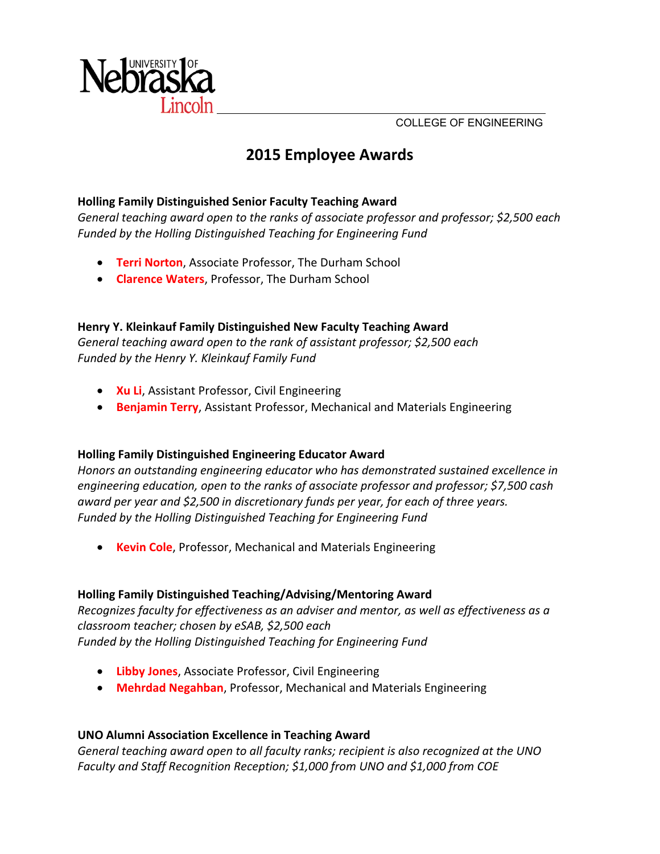

COLLEGE OF ENGINEERING

# **2015 Employee Awards**

## **Holling Family Distinguished Senior Faculty Teaching Award**

*General teaching award open to the ranks of associate professor and professor; \$2,500 each Funded by the Holling Distinguished Teaching for Engineering Fund*

- **Terri Norton**, Associate Professor, The Durham School
- **Clarence Waters**, Professor, The Durham School

# **Henry Y. Kleinkauf Family Distinguished New Faculty Teaching Award**

*General teaching award open to the rank of assistant professor; \$2,500 each Funded by the Henry Y. Kleinkauf Family Fund*

- **Xu Li**, Assistant Professor, Civil Engineering
- **Benjamin Terry**, Assistant Professor, Mechanical and Materials Engineering

# **Holling Family Distinguished Engineering Educator Award**

*Honors an outstanding engineering educator who has demonstrated sustained excellence in engineering education, open to the ranks of associate professor and professor; \$7,500 cash award per year and \$2,500 in discretionary funds per year, for each of three years. Funded by the Holling Distinguished Teaching for Engineering Fund*

**Kevin Cole**, Professor, Mechanical and Materials Engineering

# **Holling Family Distinguished Teaching/Advising/Mentoring Award**

*Recognizes faculty for effectiveness as an adviser and mentor, as well as effectiveness as a classroom teacher; chosen by eSAB, \$2,500 each Funded by the Holling Distinguished Teaching for Engineering Fund*

- **Libby Jones**, Associate Professor, Civil Engineering
- **Mehrdad Negahban**, Professor, Mechanical and Materials Engineering

# **UNO Alumni Association Excellence in Teaching Award**

*General teaching award open to all faculty ranks; recipient is also recognized at the UNO Faculty and Staff Recognition Reception; \$1,000 from UNO and \$1,000 from COE*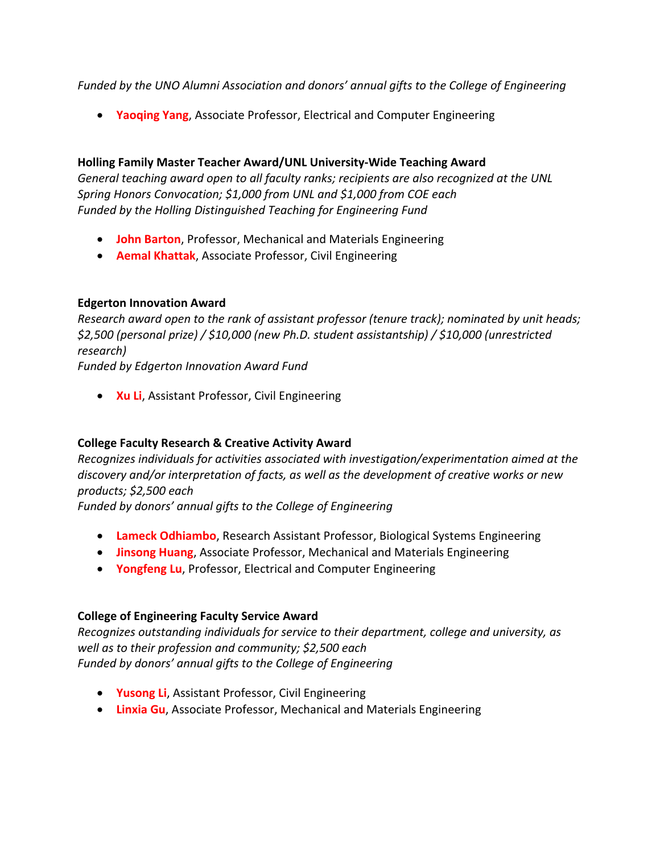*Funded by the UNO Alumni Association and donors' annual gifts to the College of Engineering*

**Yaoqing Yang**, Associate Professor, Electrical and Computer Engineering

#### **Holling Family Master Teacher Award/UNL University‐Wide Teaching Award**

*General teaching award open to all faculty ranks; recipients are also recognized at the UNL Spring Honors Convocation; \$1,000 from UNL and \$1,000 from COE each Funded by the Holling Distinguished Teaching for Engineering Fund*

- **John Barton**, Professor, Mechanical and Materials Engineering
- **Aemal Khattak**, Associate Professor, Civil Engineering

#### **Edgerton Innovation Award**

*Research award open to the rank of assistant professor (tenure track); nominated by unit heads; \$2,500 (personal prize) / \$10,000 (new Ph.D. student assistantship) / \$10,000 (unrestricted research) Funded by Edgerton Innovation Award Fund*

**Xu Li**, Assistant Professor, Civil Engineering

# **College Faculty Research & Creative Activity Award**

*Recognizes individuals for activities associated with investigation/experimentation aimed at the discovery and/or interpretation of facts, as well as the development of creative works or new products; \$2,500 each*

*Funded by donors' annual gifts to the College of Engineering*

- **Lameck Odhiambo**, Research Assistant Professor, Biological Systems Engineering
- **Jinsong Huang**, Associate Professor, Mechanical and Materials Engineering
- **Yongfeng Lu**, Professor, Electrical and Computer Engineering

# **College of Engineering Faculty Service Award**

*Recognizes outstanding individuals for service to their department, college and university, as well as to their profession and community; \$2,500 each Funded by donors' annual gifts to the College of Engineering*

- **Yusong Li**, Assistant Professor, Civil Engineering
- **Linxia Gu**, Associate Professor, Mechanical and Materials Engineering